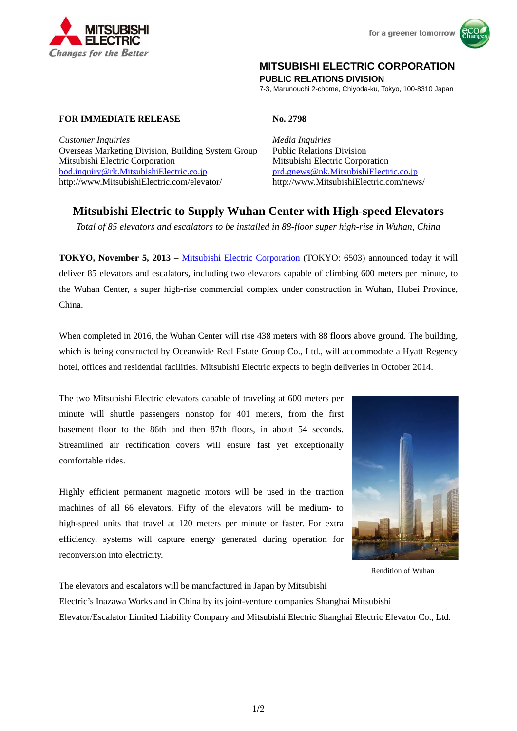



## **MITSUBISHI ELECTRIC CORPORATION**

**PUBLIC RELATIONS DIVISION** 

7-3, Marunouchi 2-chome, Chiyoda-ku, Tokyo, 100-8310 Japan

## **FOR IMMEDIATE RELEASE No. 2798**

*Customer Inquiries Media Inquiries* Overseas Marketing Division, Building System Group Public Relations Division Mitsubishi Electric Corporation Mitsubishi Electric Corporation bod.inquiry@rk.MitsubishiElectric.co.jp prd.gnews@nk.MitsubishiElectric.co.jp http://www.MitsubishiElectric.com/elevator/ http://www.MitsubishiElectric.com/news/

# **Mitsubishi Electric to Supply Wuhan Center with High-speed Elevators**

*Total of 85 elevators and escalators to be installed in 88-floor super high-rise in Wuhan, China* 

**TOKYO, November 5, 2013** – Mitsubishi Electric Corporation (TOKYO: 6503) announced today it will deliver 85 elevators and escalators, including two elevators capable of climbing 600 meters per minute, to the Wuhan Center, a super high-rise commercial complex under construction in Wuhan, Hubei Province, China.

When completed in 2016, the Wuhan Center will rise 438 meters with 88 floors above ground. The building, which is being constructed by Oceanwide Real Estate Group Co., Ltd., will accommodate a Hyatt Regency hotel, offices and residential facilities. Mitsubishi Electric expects to begin deliveries in October 2014.

The two Mitsubishi Electric elevators capable of traveling at 600 meters per minute will shuttle passengers nonstop for 401 meters, from the first basement floor to the 86th and then 87th floors, in about 54 seconds. Streamlined air rectification covers will ensure fast yet exceptionally comfortable rides.

Highly efficient permanent magnetic motors will be used in the traction machines of all 66 elevators. Fifty of the elevators will be medium- to high-speed units that travel at 120 meters per minute or faster. For extra efficiency, systems will capture energy generated during operation for reconversion into electricity.



Rendition of Wuhan

The elevators and escalators will be manufactured in Japan by Mitsubishi Electric's Inazawa Works and in China by its joint-venture companies Shanghai Mitsubishi Elevator/Escalator Limited Liability Company and Mitsubishi Electric Shanghai Electric Elevator Co., Ltd.